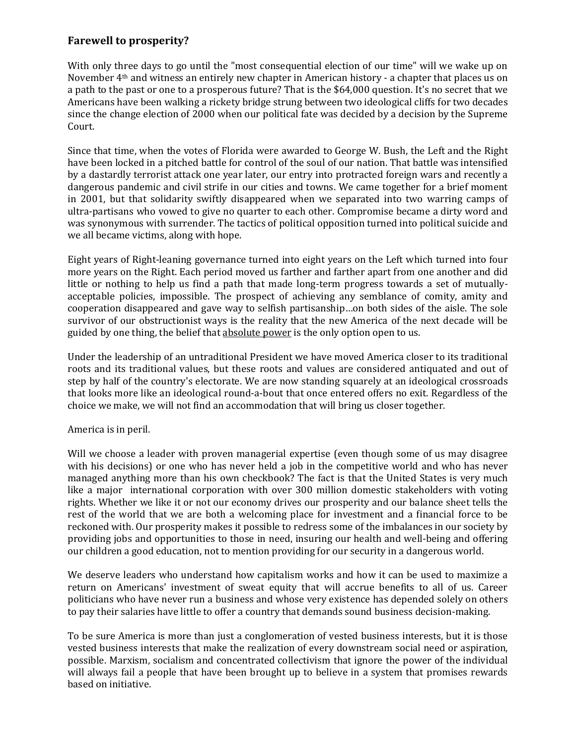## **Farewell to prosperity?**

With only three days to go until the "most consequential election of our time" will we wake up on November 4th and witness an entirely new chapter in American history - a chapter that places us on a path to the past or one to a prosperous future? That is the \$64,000 question. It's no secret that we Americans have been walking a rickety bridge strung between two ideological cliffs for two decades since the change election of 2000 when our political fate was decided by a decision by the Supreme Court.

Since that time, when the votes of Florida were awarded to George W. Bush, the Left and the Right have been locked in a pitched battle for control of the soul of our nation. That battle was intensified by a dastardly terrorist attack one year later, our entry into protracted foreign wars and recently a dangerous pandemic and civil strife in our cities and towns. We came together for a brief moment in 2001, but that solidarity swiftly disappeared when we separated into two warring camps of ultra-partisans who vowed to give no quarter to each other. Compromise became a dirty word and was synonymous with surrender. The tactics of political opposition turned into political suicide and we all became victims, along with hope.

Eight years of Right-leaning governance turned into eight years on the Left which turned into four more years on the Right. Each period moved us farther and farther apart from one another and did little or nothing to help us find a path that made long-term progress towards a set of mutuallyacceptable policies, impossible. The prospect of achieving any semblance of comity, amity and cooperation disappeared and gave way to selfish partisanship…on both sides of the aisle. The sole survivor of our obstructionist ways is the reality that the new America of the next decade will be guided by one thing, the belief that absolute power is the only option open to us.

Under the leadership of an untraditional President we have moved America closer to its traditional roots and its traditional values, but these roots and values are considered antiquated and out of step by half of the country's electorate. We are now standing squarely at an ideological crossroads that looks more like an ideological round-a-bout that once entered offers no exit. Regardless of the choice we make, we will not find an accommodation that will bring us closer together.

## America is in peril.

Will we choose a leader with proven managerial expertise (even though some of us may disagree with his decisions) or one who has never held a job in the competitive world and who has never managed anything more than his own checkbook? The fact is that the United States is very much like a major international corporation with over 300 million domestic stakeholders with voting rights. Whether we like it or not our economy drives our prosperity and our balance sheet tells the rest of the world that we are both a welcoming place for investment and a financial force to be reckoned with. Our prosperity makes it possible to redress some of the imbalances in our society by providing jobs and opportunities to those in need, insuring our health and well-being and offering our children a good education, not to mention providing for our security in a dangerous world.

We deserve leaders who understand how capitalism works and how it can be used to maximize a return on Americans' investment of sweat equity that will accrue benefits to all of us. Career politicians who have never run a business and whose very existence has depended solely on others to pay their salaries have little to offer a country that demands sound business decision-making.

To be sure America is more than just a conglomeration of vested business interests, but it is those vested business interests that make the realization of every downstream social need or aspiration, possible. Marxism, socialism and concentrated collectivism that ignore the power of the individual will always fail a people that have been brought up to believe in a system that promises rewards based on initiative.